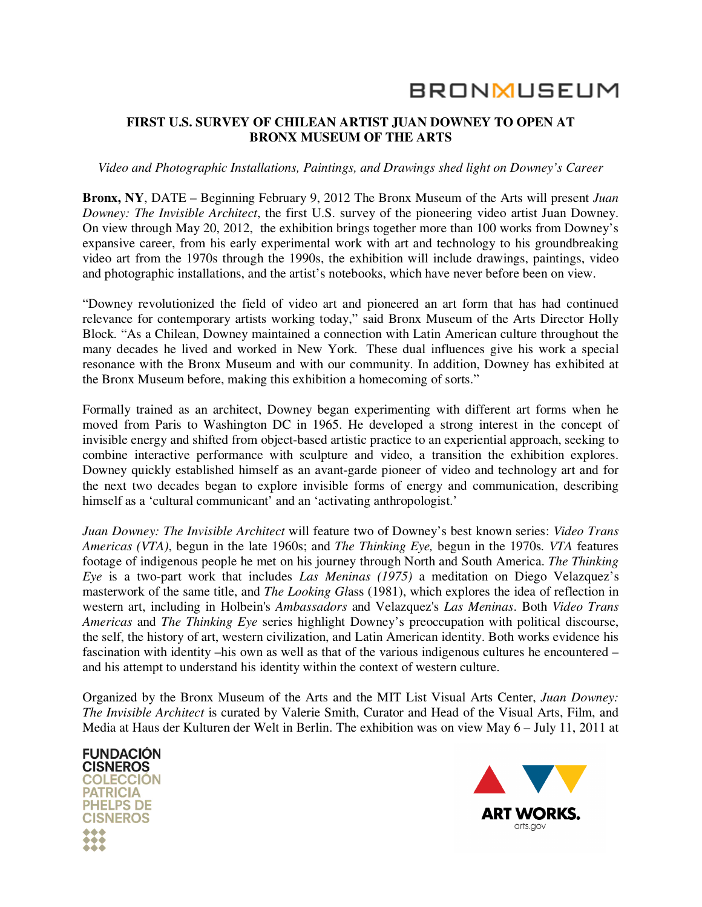# **BRONMUSEUM**

# **FIRST U.S. SURVEY OF CHILEAN ARTIST JUAN DOWNEY TO OPEN AT BRONX MUSEUM OF THE ARTS**

## *Video and Photographic Installations, Paintings, and Drawings shed light on Downey's Career*

**Bronx, NY**, DATE – Beginning February 9, 2012 The Bronx Museum of the Arts will present *Juan Downey: The Invisible Architect*, the first U.S. survey of the pioneering video artist Juan Downey. On view through May 20, 2012, the exhibition brings together more than 100 works from Downey's expansive career, from his early experimental work with art and technology to his groundbreaking video art from the 1970s through the 1990s, the exhibition will include drawings, paintings, video and photographic installations, and the artist's notebooks, which have never before been on view.

"Downey revolutionized the field of video art and pioneered an art form that has had continued relevance for contemporary artists working today," said Bronx Museum of the Arts Director Holly Block. "As a Chilean, Downey maintained a connection with Latin American culture throughout the many decades he lived and worked in New York. These dual influences give his work a special resonance with the Bronx Museum and with our community. In addition, Downey has exhibited at the Bronx Museum before, making this exhibition a homecoming of sorts."

Formally trained as an architect, Downey began experimenting with different art forms when he moved from Paris to Washington DC in 1965. He developed a strong interest in the concept of invisible energy and shifted from object-based artistic practice to an experiential approach, seeking to combine interactive performance with sculpture and video, a transition the exhibition explores. Downey quickly established himself as an avant-garde pioneer of video and technology art and for the next two decades began to explore invisible forms of energy and communication, describing himself as a 'cultural communicant' and an 'activating anthropologist.'

*Juan Downey: The Invisible Architect* will feature two of Downey's best known series: *Video Trans Americas (VTA)*, begun in the late 1960s; and *The Thinking Eye,* begun in the 1970s*. VTA* features footage of indigenous people he met on his journey through North and South America. *The Thinking Eye* is a two-part work that includes *Las Meninas (1975)* a meditation on Diego Velazquez's masterwork of the same title, and *The Looking Gl*ass (1981), which explores the idea of reflection in western art, including in Holbein's *Ambassadors* and Velazquez's *Las Meninas*. Both *Video Trans Americas* and *The Thinking Eye* series highlight Downey's preoccupation with political discourse, the self, the history of art, western civilization, and Latin American identity. Both works evidence his fascination with identity –his own as well as that of the various indigenous cultures he encountered – and his attempt to understand his identity within the context of western culture.

Organized by the Bronx Museum of the Arts and the MIT List Visual Arts Center, *Juan Downey: The Invisible Architect* is curated by Valerie Smith, Curator and Head of the Visual Arts, Film, and Media at Haus der Kulturen der Welt in Berlin. The exhibition was on view May 6 – July 11, 2011 at



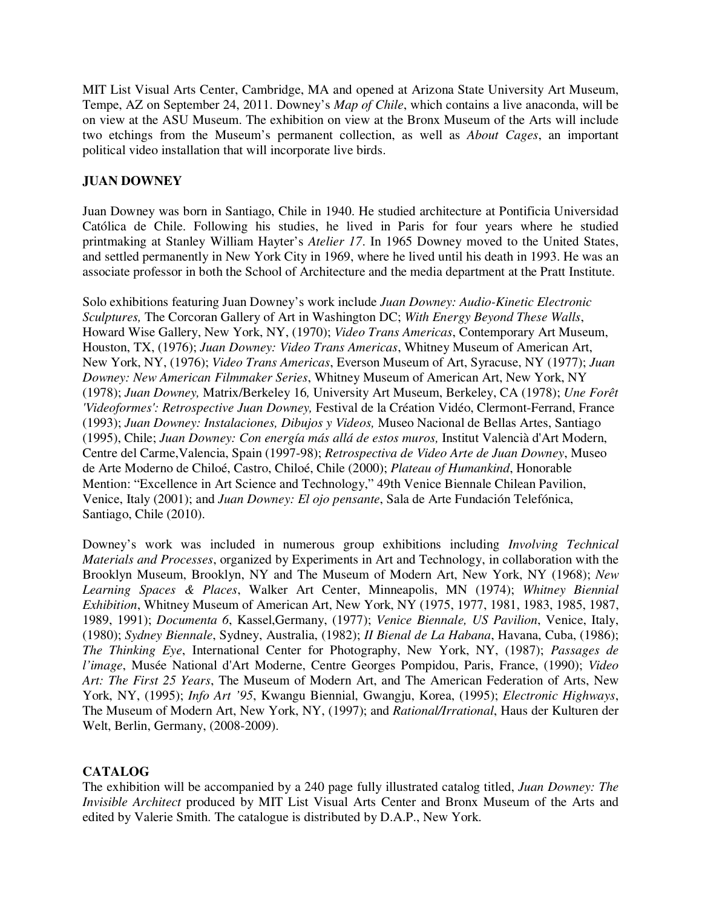MIT List Visual Arts Center, Cambridge, MA and opened at Arizona State University Art Museum, Tempe, AZ on September 24, 2011. Downey's *Map of Chile*, which contains a live anaconda, will be on view at the ASU Museum. The exhibition on view at the Bronx Museum of the Arts will include two etchings from the Museum's permanent collection, as well as *About Cages*, an important political video installation that will incorporate live birds.

# **JUAN DOWNEY**

Juan Downey was born in Santiago, Chile in 1940. He studied architecture at Pontificia Universidad Católica de Chile. Following his studies, he lived in Paris for four years where he studied printmaking at Stanley William Hayter's *Atelier 17*. In 1965 Downey moved to the United States, and settled permanently in New York City in 1969, where he lived until his death in 1993. He was an associate professor in both the School of Architecture and the media department at the Pratt Institute.

Solo exhibitions featuring Juan Downey's work include *Juan Downey: Audio-Kinetic Electronic Sculptures,* The Corcoran Gallery of Art in Washington DC; *With Energy Beyond These Walls*, Howard Wise Gallery, New York, NY, (1970); *Video Trans Americas*, Contemporary Art Museum, Houston, TX, (1976); *Juan Downey: Video Trans Americas*, Whitney Museum of American Art, New York, NY, (1976); *Video Trans Americas*, Everson Museum of Art, Syracuse, NY (1977); *Juan Downey: New American Filmmaker Series*, Whitney Museum of American Art, New York, NY (1978); *Juan Downey,* Matrix/Berkeley 16*,* University Art Museum, Berkeley, CA (1978); *Une Forêt 'Videoformes': Retrospective Juan Downey,* Festival de la Création Vidéo, Clermont-Ferrand, France (1993); *Juan Downey: Instalaciones, Dibujos y Videos,* Museo Nacional de Bellas Artes, Santiago (1995), Chile; *Juan Downey: Con energía más allá de estos muros,* Institut Valencià d'Art Modern, Centre del Carme,Valencia, Spain (1997-98); *Retrospectiva de Video Arte de Juan Downey*, Museo de Arte Moderno de Chiloé, Castro, Chiloé, Chile (2000); *Plateau of Humankind*, Honorable Mention: "Excellence in Art Science and Technology," 49th Venice Biennale Chilean Pavilion, Venice, Italy (2001); and *Juan Downey: El ojo pensante*, Sala de Arte Fundación Telefónica, Santiago, Chile (2010).

Downey's work was included in numerous group exhibitions including *Involving Technical Materials and Processes*, organized by Experiments in Art and Technology, in collaboration with the Brooklyn Museum, Brooklyn, NY and The Museum of Modern Art, New York, NY (1968); *New Learning Spaces & Places*, Walker Art Center, Minneapolis, MN (1974); *Whitney Biennial Exhibition*, Whitney Museum of American Art, New York, NY (1975, 1977, 1981, 1983, 1985, 1987, 1989, 1991); *Documenta 6*, Kassel,Germany, (1977); *Venice Biennale, US Pavilion*, Venice, Italy, (1980); *Sydney Biennale*, Sydney, Australia, (1982); *II Bienal de La Habana*, Havana, Cuba, (1986); *The Thinking Eye*, International Center for Photography, New York, NY, (1987); *Passages de l'image*, Musée National d'Art Moderne, Centre Georges Pompidou, Paris, France, (1990); *Video Art: The First 25 Years*, The Museum of Modern Art, and The American Federation of Arts, New York, NY, (1995); *Info Art '95*, Kwangu Biennial, Gwangju, Korea, (1995); *Electronic Highways*, The Museum of Modern Art, New York, NY, (1997); and *Rational/Irrational*, Haus der Kulturen der Welt, Berlin, Germany, (2008-2009).

# **CATALOG**

The exhibition will be accompanied by a 240 page fully illustrated catalog titled, *Juan Downey: The Invisible Architect* produced by MIT List Visual Arts Center and Bronx Museum of the Arts and edited by Valerie Smith. The catalogue is distributed by D.A.P., New York.